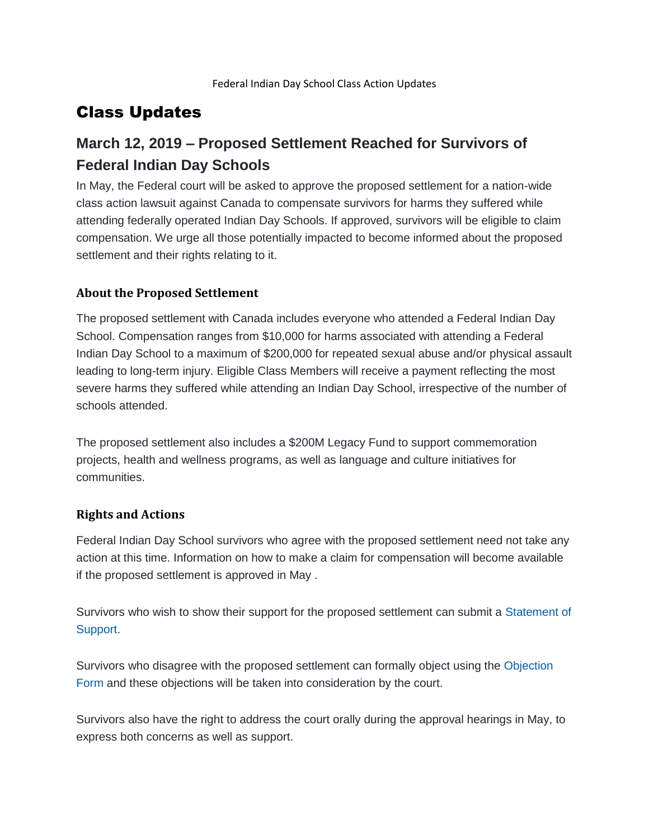## Class Updates

# **March 12, 2019 – Proposed Settlement Reached for Survivors of Federal Indian Day Schools**

In May, the Federal court will be asked to approve the proposed settlement for a nation-wide class action lawsuit against Canada to compensate survivors for harms they suffered while attending federally operated Indian Day Schools. If approved, survivors will be eligible to claim compensation. We urge all those potentially impacted to become informed about the proposed settlement and their rights relating to it.

## **About the Proposed Settlement**

The proposed settlement with Canada includes everyone who attended a Federal Indian Day School. Compensation ranges from \$10,000 for harms associated with attending a Federal Indian Day School to a maximum of \$200,000 for repeated sexual abuse and/or physical assault leading to long-term injury. Eligible Class Members will receive a payment reflecting the most severe harms they suffered while attending an Indian Day School, irrespective of the number of schools attended.

The proposed settlement also includes a \$200M Legacy Fund to support commemoration projects, health and wellness programs, as well as language and culture initiatives for communities.

### **Rights and Actions**

Federal Indian Day School survivors who agree with the proposed settlement need not take any action at this time. Information on how to make a claim for compensation will become available if the proposed settlement is approved in May .

Survivors who wish to show their support for the proposed settlement can submit a [Statement of](https://indiandayschools.com/en/documents/)  [Support.](https://indiandayschools.com/en/documents/)

Survivors who disagree with the proposed settlement can formally object using the [Objection](https://indiandayschools.com/en/documents/)  [Form](https://indiandayschools.com/en/documents/) and these objections will be taken into consideration by the court.

Survivors also have the right to address the court orally during the approval hearings in May, to express both concerns as well as support.